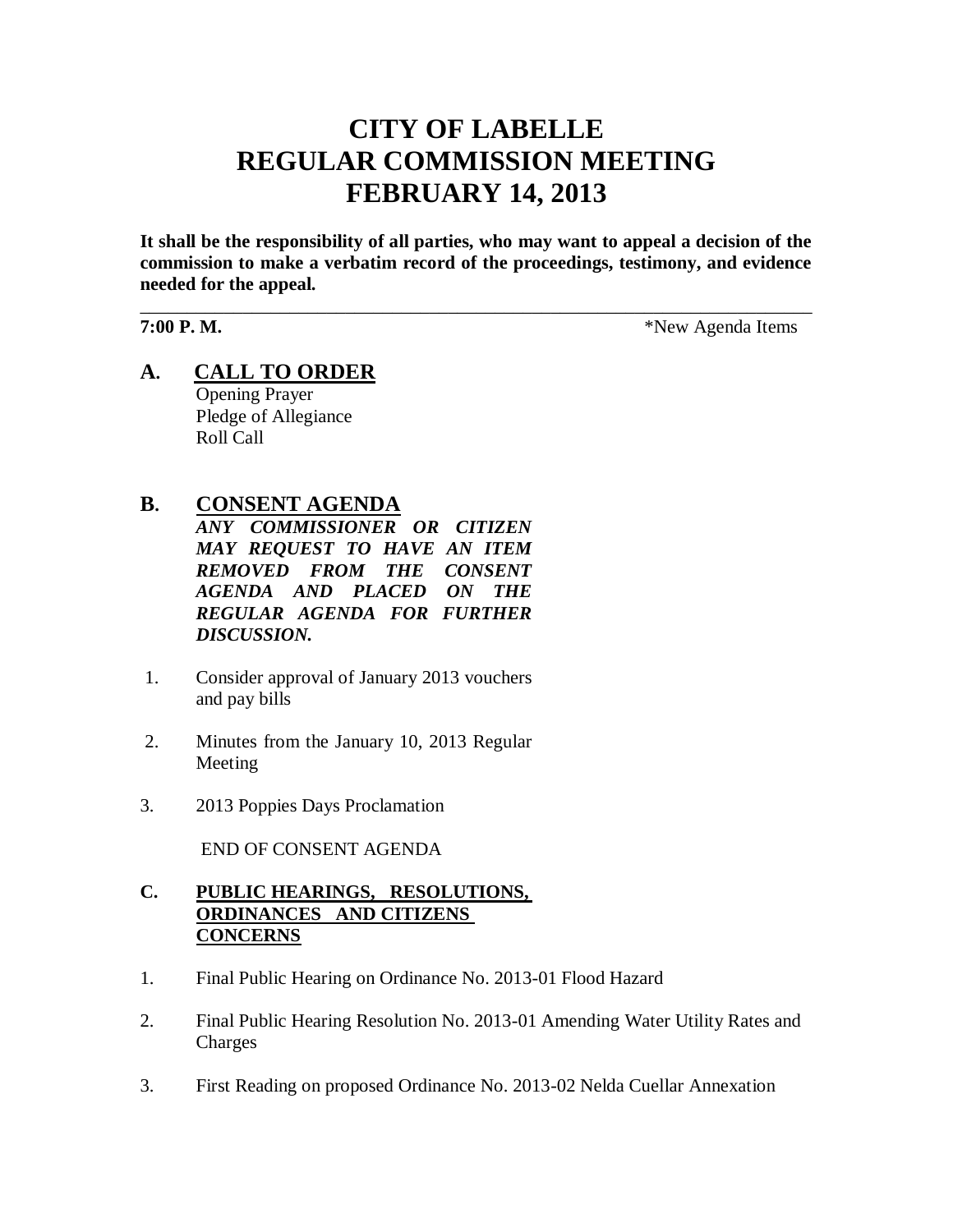# **CITY OF LABELLE REGULAR COMMISSION MEETING FEBRUARY 14, 2013**

**It shall be the responsibility of all parties, who may want to appeal a decision of the commission to make a verbatim record of the proceedings, testimony, and evidence needed for the appeal.**

\_\_\_\_\_\_\_\_\_\_\_\_\_\_\_\_\_\_\_\_\_\_\_\_\_\_\_\_\_\_\_\_\_\_\_\_\_\_\_\_\_\_\_\_\_\_\_\_\_\_\_\_\_\_\_\_\_\_\_\_\_\_\_\_\_\_\_\_\_\_\_\_

**7:00 P. M.**  $*$ New Agenda Items

**A. CALL TO ORDER** Opening Prayer Pledge of Allegiance Roll Call

# **B. CONSENT AGENDA**

*ANY COMMISSIONER OR CITIZEN MAY REQUEST TO HAVE AN ITEM REMOVED FROM THE CONSENT AGENDA AND PLACED ON THE REGULAR AGENDA FOR FURTHER DISCUSSION.*

- 1. Consider approval of January 2013 vouchers and pay bills
- 2. Minutes from the January 10, 2013 Regular Meeting
- 3. 2013 Poppies Days Proclamation

END OF CONSENT AGENDA

# **C. PUBLIC HEARINGS, RESOLUTIONS, ORDINANCES AND CITIZENS CONCERNS**

- 1. Final Public Hearing on Ordinance No. 2013-01 Flood Hazard
- 2. Final Public Hearing Resolution No. 2013-01 Amending Water Utility Rates and Charges
- 3. First Reading on proposed Ordinance No. 2013-02 Nelda Cuellar Annexation